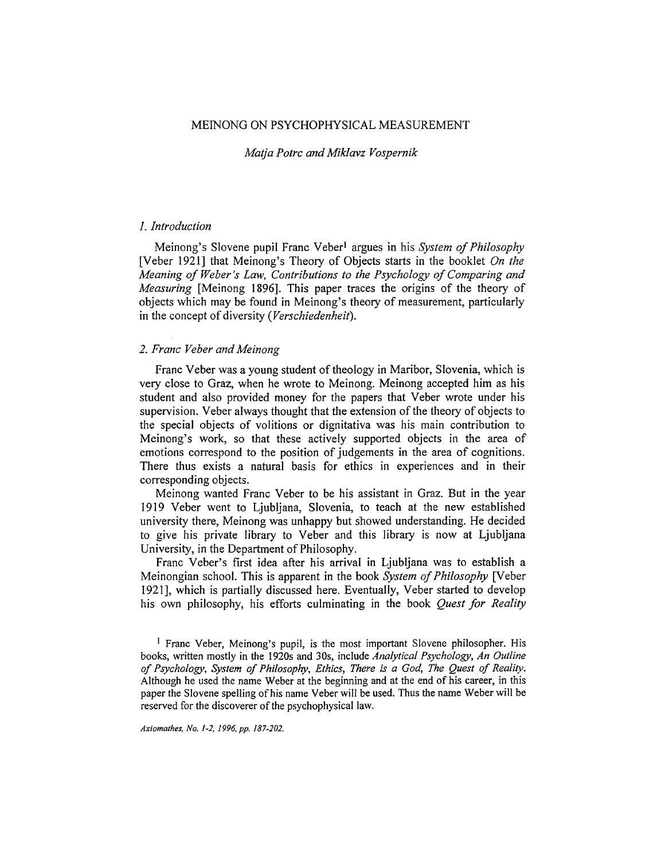### MEINONG ON PSYCHOPHYSICAL MEASUREMENT

### *Matja Potrc and Miklavz Vospernik*

### *1. Introduction*

Meinong's Slovene pupil Franc Veber<sup>1</sup> argues in his *System of Philosophy* [Veber 1921] that Meinong's Theory of Objects starts in the booklet *On the Meaning of Weber's Law, Contributions to the Psychology of Comparing and Measuring* [Meinong 1896]. This paper traces the origins of the theory of objects which may be found in Meinong's theory of measurement, particularly in the concept of diversity (Verschiedenheit).

## *2. Franc Veber and Meinong*

Franc Veber was a young student of theology in Maribor, Slovenia, which is very close to Graz, when he wrote to Meinong. Meinong accepted him as his student and also provided money for the papers that Veber wrote under his supervision. Veber always thought that the extension of the theory of objects to the special objects of volitions or dignitativa was his main contribution to Meinong's work, so that these actively supported objects in the area of emotions correspond to the position of judgements in the area of cognitions. There thus exists a natural basis for ethics in experiences and in their corresponding objects.

Meinong wanted Franc Veber to be his assistant in Graz. But in the year 1919 Veber went to Ljubljana, Slovenia, to teach at the new established university there, Meinong was unhappy but showed understanding. He decided to give his private library to Veber and this library is now at Ljubljana University, in the Department of Philosophy.

Franc Veber's first idea after his arrival in Ljubljana was to establish a Meinongian school. This is apparent in the book *System of Philosophy* [Veber 1921], which is partially discussed here. Eventually, Veber started to develop his own philosophy, his efforts culminating in the book *Quest for Reality* 

*Axiomathes. No. 1-2, 1996, pp. 187-202.* 

<sup>!</sup> Franc Veber, Meinong's pupil, is the most important Slovene philosopher. His books, written mostly in the 1920s and 30s, include *Analytical Psychology, An Outline of Psychology, System of Philosophy, Ethics, There is a God, The Quest of Reality.* Although he used the name Weber at the beginning and at the end of his career, in this paper the Slovene spelling of his name Veber will be used. Thus the name Weber will be reserved for the discoverer of the psychophysical law.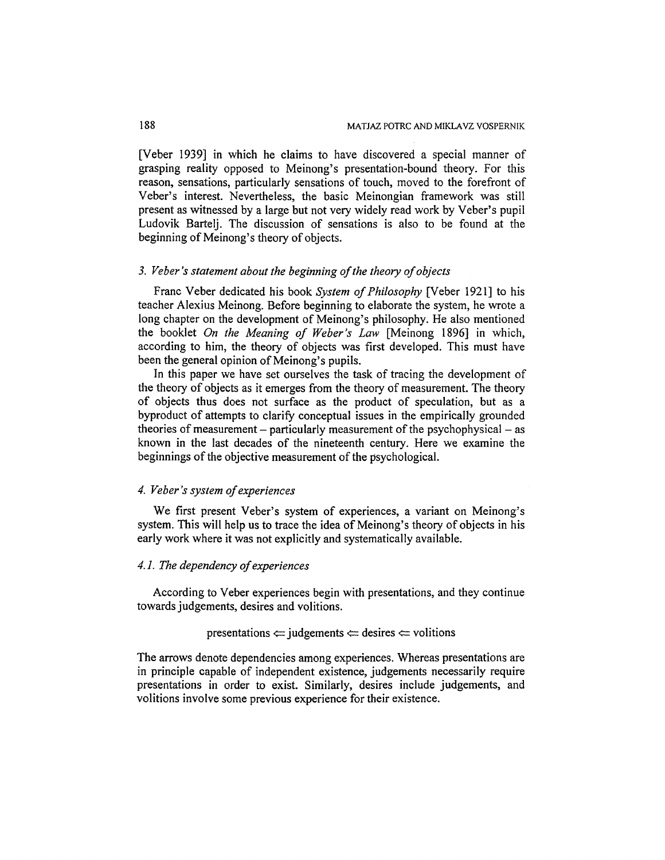[Veber 1939] in which he claims to have discovered a special manner of grasping reality opposed to Meinong's presentation-bound theory. For this reason, sensations, particularly sensations of touch, moved to the forefront of Veber's interest. Nevertheless, the basic Meinongian framework was still present as witnessed by a large but not very widely read work by Veber's pupil Ludovik Bartelj. The discussion of sensations is also to be found at the beginning of Meinong's theory of objects.

### *3. Veber's statement about the beginning of the theory of objects*

Franc Veber dedicated his book *System of Philosophy* [Veber 1921] to his teacher Alexius Meinong. Before beginning to elaborate the system, he wrote a long chapter on the development of Meinong's philosophy. He also mentioned the booklet *On the Meaning of Weber's Law* [Meinong 1896] in which, according to him, the theory of objects was first developed. This must have been the general opinion of Meinong's pupils.

In this paper we have set ourselves the task of tracing the development of the theory of objects as it emerges from the theory of measurement. The theory of objects thus does not surface as the product of speculation, but as a byproduct of attempts to clarify conceptual issues in the empirically grounded theories of measurement  $-$  particularly measurement of the psychophysical  $-$  as known in the last decades of the nineteenth century. Here we examine the beginnings of the objective measurement of the psychological.

# *4. Veber's system of experiences*

We first present Veber's system of experiences, a variant on Meinong's system. This will help us to trace the idea of Meinong's theory of objects in his early work where it was not explicitly and systematically available.

### *4.1. The dependency of experiences*

According to Veber experiences begin with presentations, and they continue towards judgements, desires and volitions.

presentations  $\Leftarrow$  judgements  $\Leftarrow$  desires  $\Leftarrow$  volitions

The arrows denote dependencies among experiences. Whereas presentations are in principle capable of independent existence, judgements necessarily require presentations in order to exist. Similarly, desires include judgements, and volitions involve some previous experience for their existence.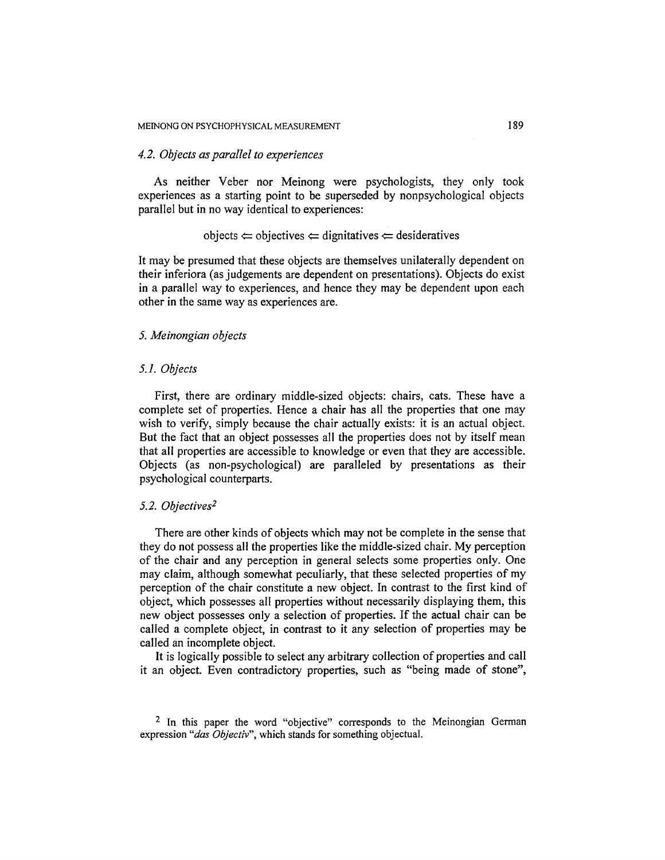### *4. 2. Objects as parallel to experiences*

As neither Veber nor Meinong were psychologists, they only took experiences as a starting point to be superseded by nonpsychoiogical objects parallel but in no way identical to experiences:

### objects  $\Leftarrow$  objectives  $\Leftarrow$  dignitatives  $\Leftarrow$  desideratives

It may be presumed that these objects are themselves unilaterally dependent on their inferiora (as judgements are dependent on presentations). Objects do exist in a parallel way to experiences, and hence they may be dependent upon each other in the same way as experiences are.

# *5. Meinongian objects*

#### *5.1. Objects*

First, there are ordinary middle-sized objects: chairs, cats. These have a complete set of properties. Hence a chair has all the properties that one may wish to verify, simply because the chair actually exists: it is an actual object. But the fact that an object possesses all the properties does not by itself mean that all properties are accessible to knowledge or even that they are accessible. Objects (as non-psychological) are paralleled by presentations as their psychological counterparts.

### *5.2. Objectives 2*

There are other kinds of objects which may not be complete in the sense that they do not possess all the properties like the middle-sized chair. My perception of the chair and any perception in general selects some properties only. One may claim, although somewhat peculiarly, that these selected properties of my perception of the chair constitute a new object. In contrast to the first kind of object, which possesses all properties without necessarily displaying them, this new object possesses only a selection of properties. If the actual chair can be called a complete object, in contrast to it any selection of properties may be called an incomplete object.

It is logically possible to select any arbitrary collection of properties and call it an object. Even contradictory properties, such as "being made of stone",

<sup>&</sup>lt;sup>2</sup> In this paper the word "objective" corresponds to the Meinongian German expression "das Objectiv", which stands for something objectual.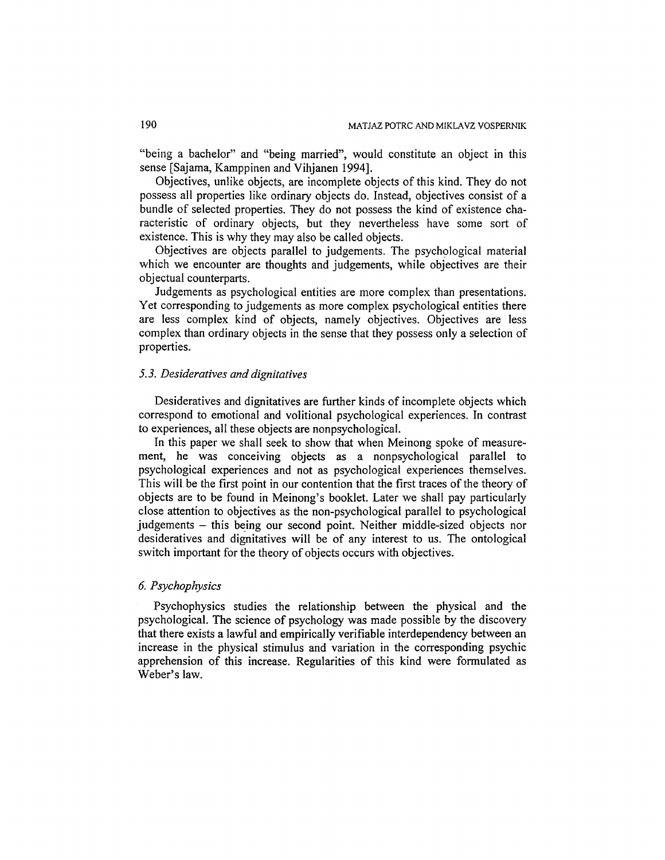"being a bachelor" and "being married", would constitute an object in this sense [Sajama, Kamppinen and Vihjanen 1994].

Objectives, unlike objects, are incomplete objects of this kind. They do not possess all properties like ordinary objects do. Instead, objectives consist of a bundle of selected properties. They do not possess the kind of existence characteristic of ordinary objects, but they nevertheless have some sort of existence. This is why they may also be called objects.

Objectives are objects parallel to judgements. The psychological material which we encounter are thoughts and judgements, while objectives are their objectual counterparts.

Judgements as psychological entities are more complex than presentations. Yet corresponding to judgements as more complex psychological entities there are less complex kind of objects, namely objectives. Objectives are less complex than ordinary objects in the sense that they possess only a selection of properties.

### *5. 3. Desideratives and dignitatives*

Desideratives and dignitatives are further kinds of incomplete objects which correspond to emotional and volitional psychological experiences. In contrast to experiences, all these objects are nonpsychological.

In this paper we shall seek to show that when Meinong spoke of measurement, he was conceiving objects as a nonpsychological parallel to psychological experiences and not as psychological experiences themselves. This will be the first point in our contention that the first traces of the theory of objects are to be found in Meinong's booklet. Later we shall pay particularly close attention to objectives as the non-psychological parallel to psychological judgements - this being our second point. Neither middle-sized objects nor desideratives and dignitatives will be of any interest to us. The ontological switch important for the theory of objects occurs with objectives.

# *6. Psychophysics*

Psychophysics studies the relationship between the physical and the psychological. The science of psychology was made possible by the discovery that there exists a lawful and empirically verifiable interdependency between an increase in the physical stimulus and variation in the corresponding psychic apprehension of this increase. Regularities of this kind were formulated as Weber's law.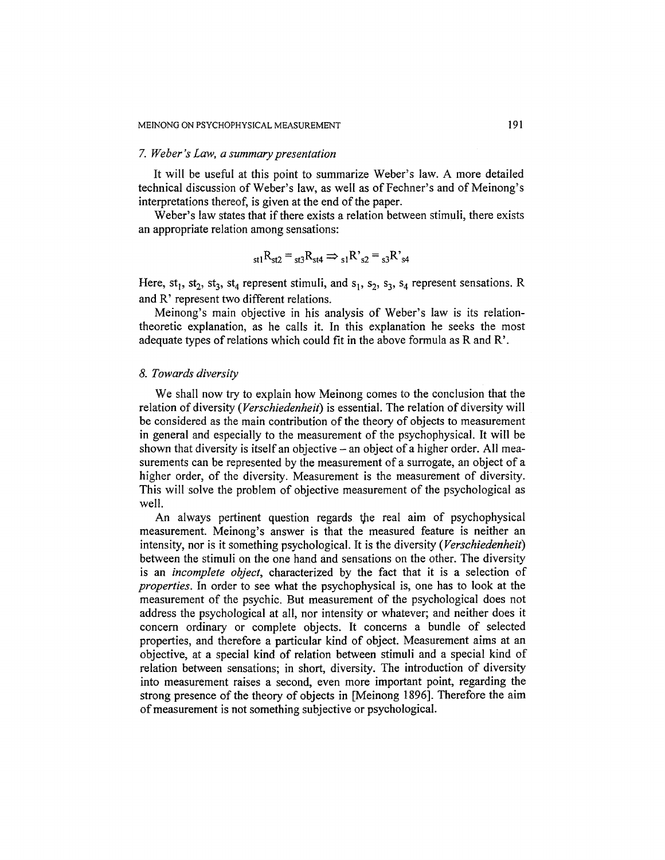#### *7. Weber's Law, a summary presentation*

It will be useful at this point to summarize Weber's law. A more detailed technical discussion of Weber's law, as well as of Fechner's and of Meinong's interpretations thereof, is given at the end of the paper.

Weber's law states that if there exists a relation between stimuli, there exists an appropriate relation among sensations:

$$
_{\rm st1}R_{\rm st2} = {}_{\rm st3}R_{\rm st4} \Rightarrow {}_{\rm s1}R^{\prime}{}_{\rm s2} = {}_{\rm s3}R^{\prime}{}_{\rm s4}
$$

Here,  $st_1$ ,  $st_2$ ,  $st_3$ ,  $st_4$  represent stimuli, and  $s_1$ ,  $s_2$ ,  $s_3$ ,  $s_4$  represent sensations. R and R' represent two different relations.

Meinong's main objective in his analysis of Weber's law is its relationtheoretic explanation, as he calls it. In this explanation he seeks the most adequate types of relations which could fit in the above formula as R and R'.

### *8. Towards diversity*

We shall now try to explain how Meinong comes to the conclusion that the relation of diversity (Verschiedenheit) is essential. The relation of diversity will be considered as the main contribution of the theory of objects to measurement in general and especially to the measurement of the psychophysical. It will be shown that diversity is itself an objective - an object of a higher order. All measurements can be represented by the measurement of a surrogate, an object of a higher order, of the diversity. Measurement is the measurement of diversity. This will solve the problem of objective measurement of the psychological as well.

An always pertinent question regards the real aim of psychophysical measurement. Meinong's answer is that the measured feature is neither an intensity, nor is it something psychological. It is the diversity *(Verschiedenheit)*  between the stimuli on the one hand and sensations on the other. The diversity is an *incomplete object,* characterized by the fact that it is a selection of *properties.* In order to see what the psychophysical is, one has to look at the measurement of the psychic. But measurement of the psychological does not address the psychological at all, nor intensity or whatever; and neither does it concern ordinary or complete objects. It concerns a bundle of selected properties, and therefore a particular kind of object. Measurement aims at an objective, at a special kind of relation between stimuli and a special kind of relation between sensations; in short, diversity. The introduction of diversity into measurement raises a second, even more important point, regarding the strong presence of the theory of objects in [Meinong 1896]. Therefore the aim of measurement is not something subjective or psychological.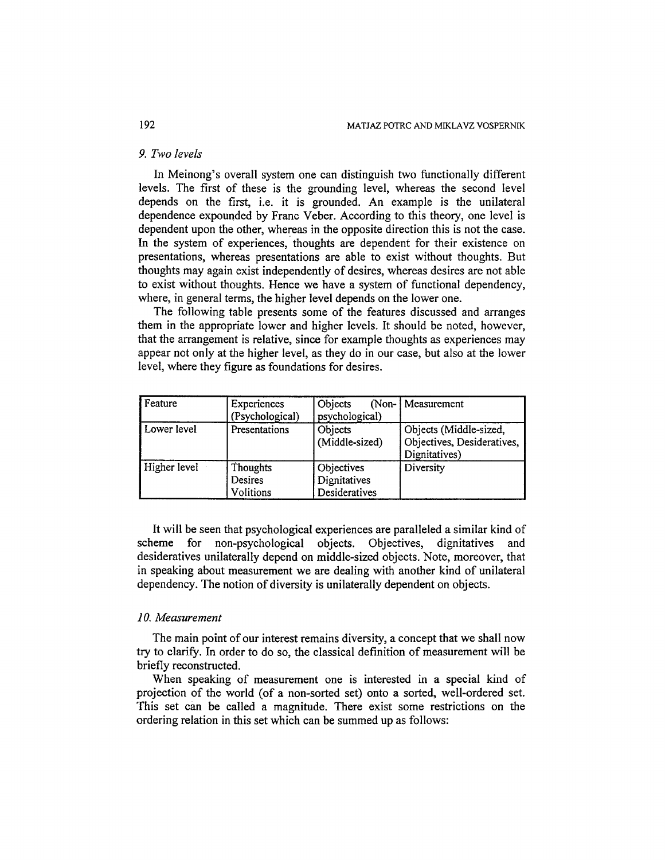### *9. Two levels*

In Meinong's overall system one can distinguish two functionally different levels. The first of these is the grounding level, whereas the second level depends on the first, i.e. it is grounded. An example is the unilateral dependence expounded by Franc Veber. According to this theory, one level is dependent upon the other, whereas in the opposite direction this is not the case. In the system of experiences, thoughts are dependent for their existence on presentations, whereas presentations are able to exist without thoughts. But thoughts may again exist independently of desires, whereas desires are not able to exist without thoughts. Hence we have a system of functional dependency, where, in general terms, the higher level depends on the lower one.

The following table presents some of the features discussed and arranges them in the appropriate lower and higher levels. It should be noted, however, that the arrangement is relative, since for example thoughts as experiences may appear not only at the higher level, as they do in our case, but also at the lower level, where they figure as foundations for desires.

| Feature      | Experiences<br>(Psychological)          | Objects<br>psychological)                   | (Non-   Measurement                                                   |
|--------------|-----------------------------------------|---------------------------------------------|-----------------------------------------------------------------------|
| Lower level  | Presentations                           | Objects<br>(Middle-sized)                   | Objects (Middle-sized,<br>Objectives, Desideratives,<br>Dignitatives) |
| Higher level | Thoughts<br>Desires<br><b>Volitions</b> | Objectives<br>Dignitatives<br>Desideratives | Diversity                                                             |

It will be seen that psychological experiences are paralleled a similar kind of scheme for non-psychological objects. Objectives, dignitatives and desideratives unilaterally depend on middle-sized objects. Note, moreover, that in speaking about measurement we are dealing with another kind of unilateral dependency. The notion of diversity is unilaterally dependent on objects.

### *10. Measurement*

The main point of our interest remains diversity, a concept that we shall now try to clarify. In order to do so, the classical definition of measurement will be briefly reconstructed.

When speaking of measurement one is interested in a special kind of projection of the world (of a non-sorted set) onto a sorted, well-ordered set. This set can be called a magnitude. There exist some restrictions on the ordering relation in this set which can be summed up as follows: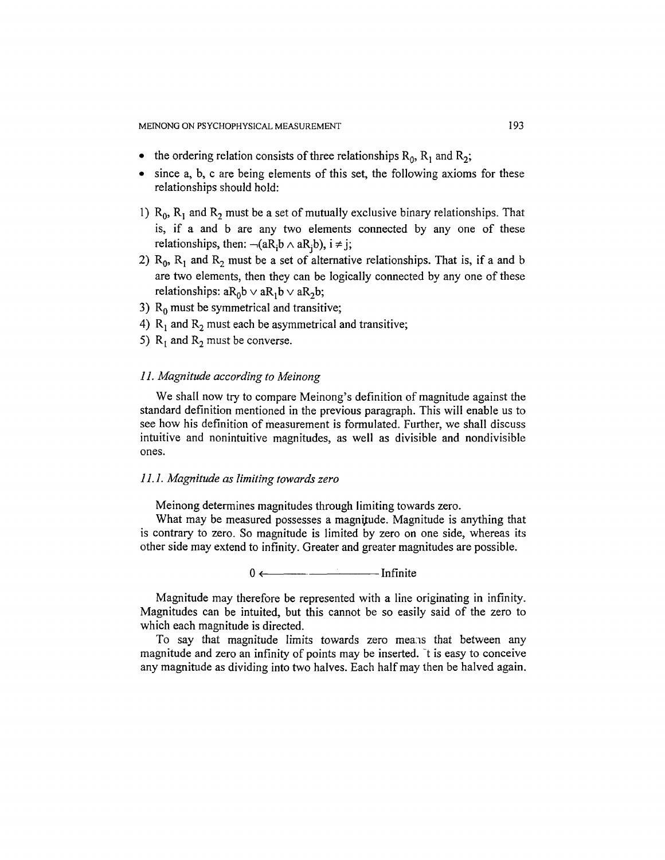- the ordering relation consists of three relationships  $R_0$ ,  $R_1$  and  $R_2$ ;
- since a, b, c are being elements of this set, the following axioms for these relationships should hold:
- 1)  $R_0$ ,  $R_1$  and  $R_2$  must be a set of mutually exclusive binary relationships. That is, if a and b are any two elements connected by any one of these relationships, then:  $\neg(aR_ib \land aR_ib)$ ,  $i \neq j$ ;
- 2)  $R_0$ ,  $R_1$  and  $R_2$  must be a set of alternative relationships. That is, if a and b are two elements, then they can be logically connected by any one of these relationships:  $aR_0b \vee aR_1b \vee aR_2b$ ;
- 3)  $R_0$  must be symmetrical and transitive;
- 4)  $R_1$  and  $R_2$  must each be asymmetrical and transitive;
- 5)  $R_1$  and  $R_2$  must be converse.

### *11. Magnitude according to Meinong*

We shall now try to compare Meinong's definition of magnitude against the standard definition mentioned in the previous paragraph. This will enable us to see how his definition of measurement is formulated. Further, we shall discuss intuitive and nonintuitive magnitudes, as well as divisible and nondivisible ones.

### *11.1. Magnitude as limiting towards zero*

Meinong determines magnitudes through limiting towards zero.

What may be measured possesses a magnitude. Magnitude is anything that is contrary to zero. So magnitude is limited by zero on one side, whereas its other side may extend to infinity. Greater and greater magnitudes are possible.

 $0 \leftarrow$  Infinite

Magnitude may therefore be represented with a line originating in infinity. Magnitudes can be intuited, but this cannot be so easily said of the zero to which each magnitude is directed.

To say that magnitude limits towards zero means that between any magnitude and zero an infinity of points may be inserted. It is easy to conceive any magnitude as dividing into two halves. Each half may then be halved again.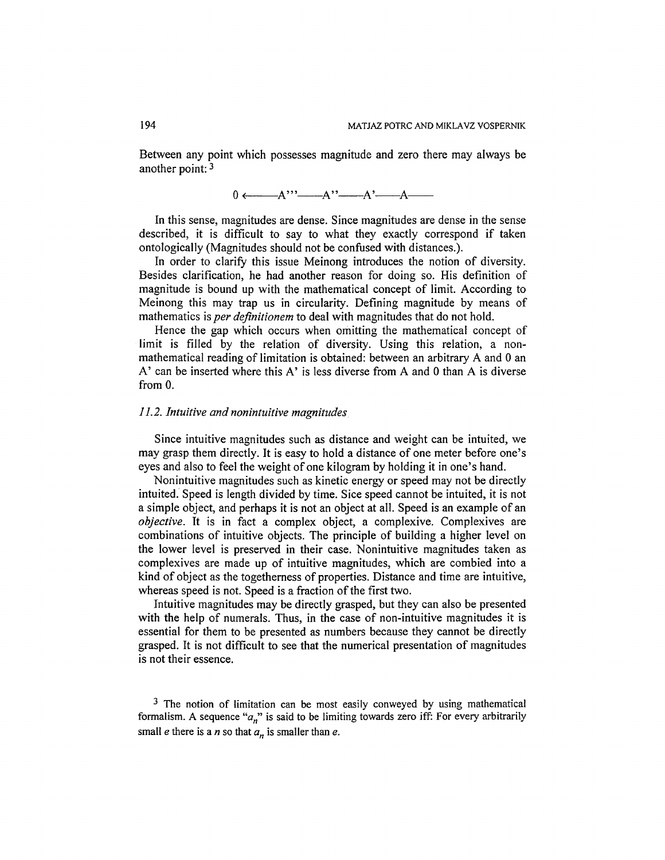Between any point which possesses magnitude and zero there may always be another point: 3

$$
0 \longleftarrow A^{\prime\prime} \longleftarrow A^{\prime} \longleftarrow A^{\prime} \longleftarrow A
$$

In this sense, magnitudes are dense. Since magnitudes are dense in the sense described, it is difficult to say to what they exactly correspond if taken ontologically (Magnitudes should not be confused with distances.).

In order to clarify this issue Meinong introduces the notion of diversity. Besides clarification, he had another reason for doing so. His definition of magnitude is bound up with the mathematical concept of limit. According to Meinong this may trap us in circularity. Defining magnitude by means of mathematics is *per definitionem* to deal with magnitudes that do not hold.

Hence the gap which occurs when omitting the mathematical concept of limit is filled by the relation of diversity. Using this relation, a nonmathematical reading of limitation is obtained: between an arbitrary A and 0 an A' can be inserted where this A' is less diverse from A and 0 than A is diverse from 0.

#### *11.2. Intuffive and nonintuitive magnitudes*

Since intuitive magnitudes such as distance and weight can be intuited, we may grasp them directly. It is easy to hold a distance of one meter before one's eyes and also to feel the weight of one kilogram by holding it in one's hand.

Nonintuitive magnitudes such as kinetic energy or speed may not be directly intuited. Speed is length divided by time. Sice speed cannot be intuited, it is not a simple object, and perhaps it is not an object at all. Speed is an example of an *objective.* It is in fact a complex object, a complexive. Complexives are combinations of intuitive objects. The principle of building a higher level on the lower level is preserved in their case. Nonintuitive magnitudes taken as complexives are made up of intuitive magnitudes, which are combied into a kind of object as the togetherness of properties. Distance and time are intuitive, whereas speed is not. Speed is a fraction of the first two.

Intuitive magnitudes may be directly grasped, but they can also be presented with the help of numerals. Thus, in the case of non-intuitive magnitudes it is essential for them to be presented as numbers because they cannot be directly grasped. It is not difficult to see that the numerical presentation of magnitudes is not their essence.

<sup>3</sup> The notion of limitation can be most easily conweyed by using mathematical formalism. A sequence *"an"* is said to be limiting towards zero iff: For every arbitrarily small *e* there is a *n* so that  $a_n$  is smaller than *e*.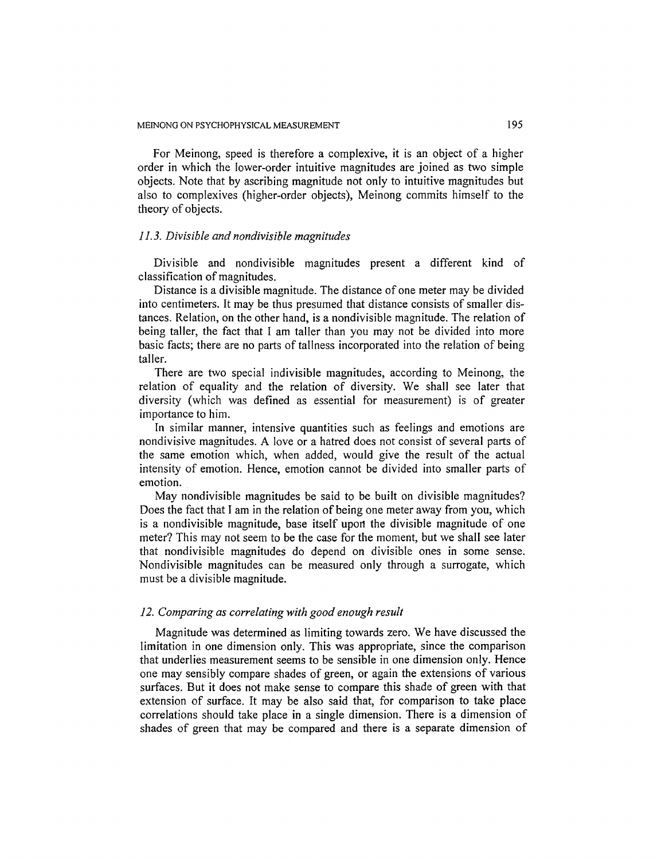For Meinong, speed is therefore a complexive, it is an object of a higher order in which the lower-order intuitive magnitudes are joined as two simple objects. Note that by ascribing magnitude not only to intuitive magnitudes but also to complexives (higher-order objects), Meinong commits himself to the theory of objects.

## *11.3. Divisible and nondivisible magnitudes*

Divisible and nondivisible magnitudes present a different kind of classification of magnitudes.

Distance is a divisible magnitude. The distance of one meter may be divided into centimeters. It may be thus presumed that distance consists of smaller distances. Relation, on the other hand, is a nondivisible magnitude. The relation of being taller, the fact that I am taller than you may not be divided into more basic facts; there are no parts of tallness incorporated into the relation of being taller.

There are two special indivisible magnitudes, according to Meinong, the relation of equality and the relation of diversity. We shall see later that diversity (which was defined as essential for measurement) is of greater importance to him.

In similar manner, intensive quantities such as feelings and emotions are nondivisive magnitudes. A love or a hatred does not consist of several parts of the same emotion which, when added, would give the result of the actual intensity of emotion. Hence, emotion cannot be divided into smaller parts of emotion.

May nondivisible magnitudes be said to be built on divisible magnitudes? Does the fact that I am in the relation of being one meter away from you, which is a nondivisible magnitude, base itself upon the divisible magnitude of one meter? This may not seem to be the case for the moment, but we shall see later that nondivisible magnitudes do depend on divisible ones in some sense. Nondivisible magnitudes can be measured only through a surrogate, which must be a divisible magnitude.

#### *12. Comparing as correlating with good enough result*

Magnitude was determined as limiting towards zero. We have discussed the limitation in one dimension only. This was appropriate, since the comparison that underlies measurement seems to be sensible in one dimension only. Hence one may sensibly compare shades of green, or again the extensions of various surfaces. But it does not make sense to compare this shade of green with that extension of surface. It may be also said that, for comparison to take place correlations should take place in a single dimension. There is a dimension of shades of green that may be compared and there is a separate dimension of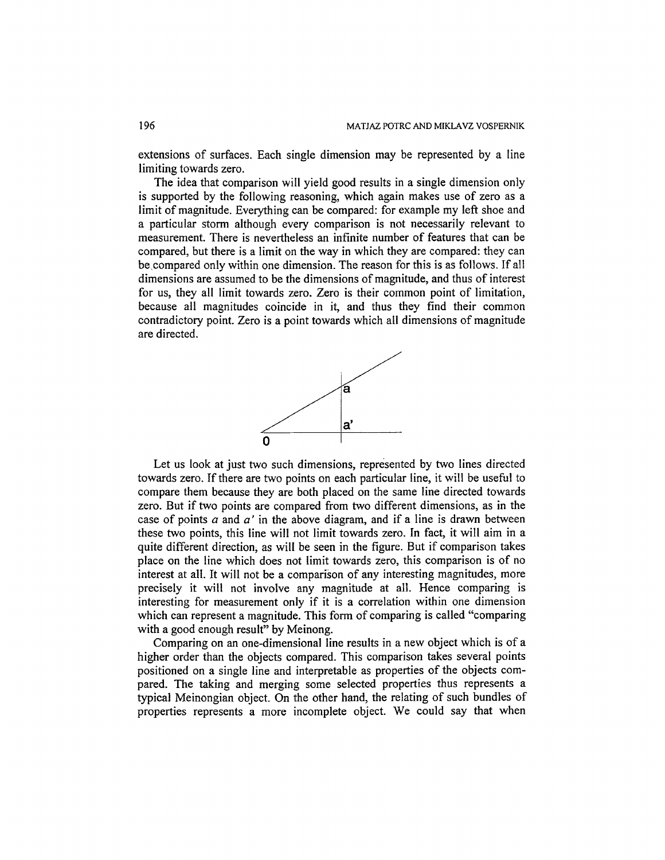extensions of surfaces. Each single dimension may be represented by a line limiting towards zero.

The idea that comparison will yield good results in a single dimension only is supported by the following reasoning, which again makes use of zero as a limit of magnitude. Everything can be compared: for example my left shoe and a particular storm although every comparison is not necessarily relevant to measurement. There is nevertheless an infinite number of features that can be compared, but there is a limit on the way in which they are compared: they can be.compared only within one dimension. The reason for this is as follows. If all dimensions are assumed to be the dimensions of magnitude, and thus of interest for us, they all limit towards zero. Zero is their common point of limitation, because all magnitudes coincide in it, and thus they find their common contradictory point. Zero is a point towards which all dimensions of magnitude are directed.



Let us look at just two such dimensions, represented by two lines directed towards zero. If there are two points on each particular line, it will be useful to compare them because they are both placed on the same line directed towards zero. But if two points are compared from two different dimensions, as in the case of points a and *a'* in the above diagram, and if a line is drawn between these two points, this line will not limit towards zero. In fact, it will aim in a quite different direction, as will be seen in the figure. But if comparison takes place on the line which does not limit towards zero, this comparison is of no interest at all. It will not be a comparison of any interesting magnitudes, more precisely it will not involve any magnitude at all. Hence comparing is interesting for measurement only if it is a correlation within one dimension which can represent a magnitude. This form of comparing is called "comparing with a good enough result" by Meinong.

Comparing on an one-dimensional line results in a new object which is of a higher order than the objects compared. This comparison takes several points positioned on a single line and interpretable as properties of the objects compared. The taking and merging some selected properties thus represents a typical Meinongian object. On the other hand, the relating of such bundles of properties represents a more incomplete object. We could say that when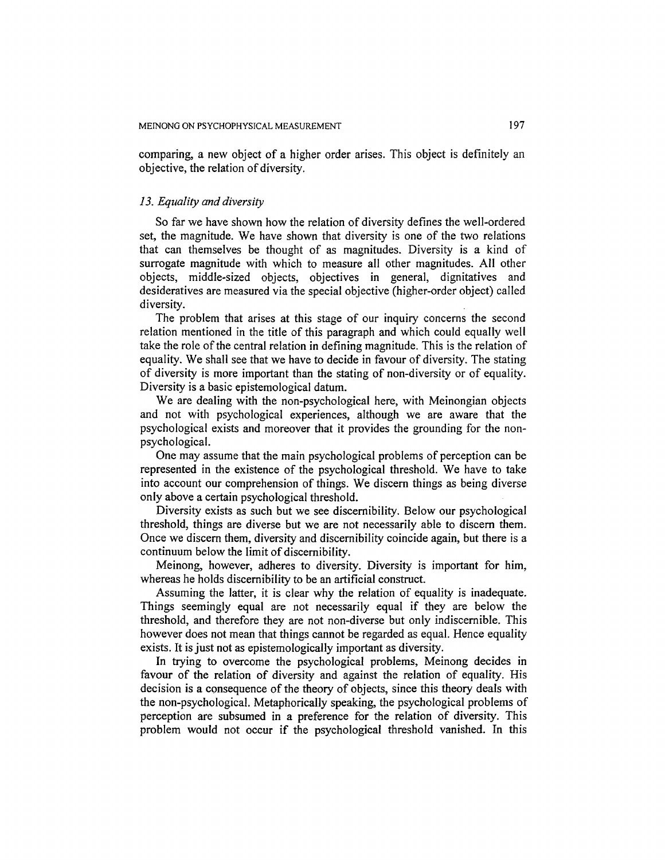comparing, a new object of a higher order arises. This object is definitely an objective, the relation of diversity.

### *13. Equality and diversity*

So far we have shown how the relation of diversity defines the well-ordered set, the magnitude. We have shown that diversity is one of the two relations that can themselves be thought of as magnitudes. Diversity is a kind of surrogate magnitude with which to measure all other magnitudes. All other objects, middle-sized objects, objectives in general, dignitatives and desideratives are measured via the special objective (higher-order object) called diversity.

The problem that arises at this stage of our inquiry concerns the second relation mentioned in the title of this paragraph and which could equally well take the role of the central relation in defining magnitude. This is the relation of equality. We shall see that we have to decide in favour of diversity. The stating of diversity is more important than the stating of non-diversity or of equality. Diversity is a basic epistemological datum.

We are dealing with the non-psychological here, with Meinongian objects and not with psychological experiences, although we are aware that the psychological exists and moreover that it provides the grounding for the nonpsychological.

One may assume that the main psychological problems of perception can be represented in the existence of the psychological threshold. We have to take into account our comprehension of things. We discern things as being diverse only above a certain psychological threshold.

Diversity exists as such but we see discernibility. Below our psychological threshold, things are diverse but we are not necessarily able to discern them. Once we discern them, diversity and discernibility coincide again, but there is a continuum below the limit of discernibility.

Meinong, however, adheres to diversity. Diversity is important for him, whereas he holds discernibility to be an artificial construct.

Assuming the latter, it is clear why the relation of equality is inadequate. Things seemingly equal are not necessarily equal if they are below the threshold, and therefore they are not non-diverse but only indiscernible. This however does not mean that things cannot be regarded as equal. Hence equality exists. It is just not as epistemologically important as diversity.

In trying to overcome the psychological problems, Meinong decides in favour of the relation of diversity and against the relation of equality. His decision is a consequence of the theory of objects, since this theory deals with the non-psychological. Metaphorically speaking, the psychological problems of perception are subsumed in a preference for the relation of diversity. This problem would not occur if the psychological threshold vanished. In this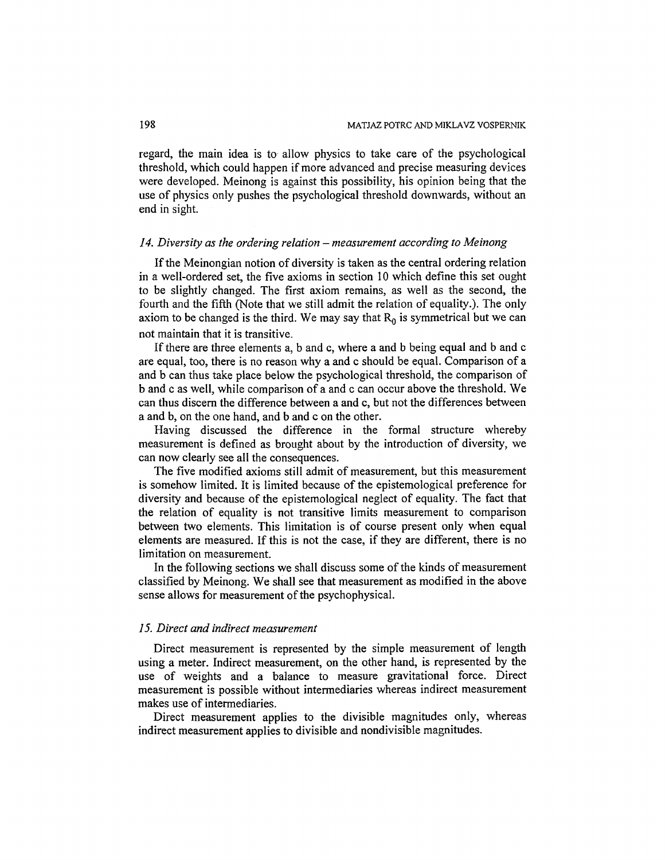regard, the main idea is to allow physics to take care of the psychological threshold, which could happen if more advanced and precise measuring devices were developed. Meinong is against this possibility, his opinion being that the use of physics only pushes the psychological threshold downwards, without an end in sight.

#### *14. Diversity as the ordering relation - measurement according to Meinong*

If the Meinongian notion of diversity is taken as the central ordering relation in a well-ordered set, the five axioms in section 10 which define this set ought to be slightly changed. The first axiom remains, as well as the second, the fourth and the fifth (Note that we still admit the relation of equality.). The only axiom to be changed is the third. We may say that  $R_0$  is symmetrical but we can not maintain that it is transitive.

If there are three elements a, b and c, where a and b being equal and b and c are equal, too, there is no reason why a and c should be equal. Comparison of a and b can thus take place below the psychological threshold, the comparison of b and c as well, while comparison of a and c can occur above the threshold. We can thus discern the difference between a and c, but not the differences between a and b, on the one hand, and b and c on the other.

Having discussed the difference in the formal structure whereby measurement is defined as brought about by the introduction of diversity, we can now clearly see all the consequences.

The five modified axioms still admit of measurement, but this measurement is somehow limited. It is limited because of the epistemological preference for diversity and because of the epistemologicai neglect of equality. The fact that the relation of equality is not transitive limits measurement to comparison between two elements. This limitation is of course present only when equal elements are measured. If this is not the case, if they are different, there is no limitation on measurement.

In the following sections we shall discuss some of the kinds of measurement classified by Meinong. We shall see that measurement as modified in the above sense allows for measurement of the psychophysical.

### *15. Direct and indirect measurement*

Direct measurement is represented by the simple measurement of length using a meter. Indirect measurement, on the other hand, is represented by the use of weights and a balance to measure gravitational force. Direct measurement is possible without intermediaries whereas indirect measurement makes use of intermediaries.

Direct measurement applies to the divisible magnitudes only, whereas indirect measurement applies to divisible and nondivisible magnitudes.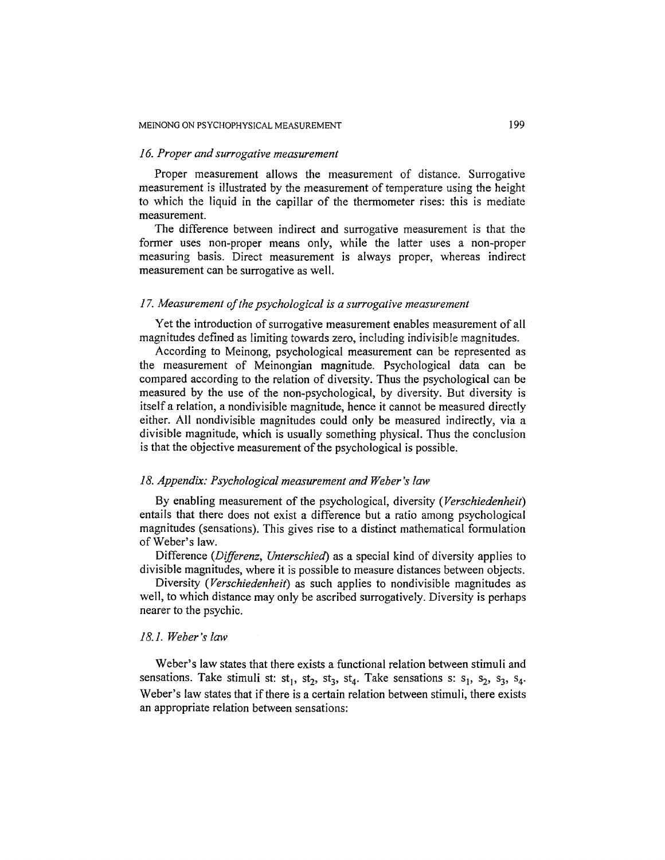### *16. Proper and surrogative measurement*

Proper measurement allows the measurement of distance. Surrogative measurement is illustrated by the measurement of temperature using the height to which the liquid in the capillar of the thermometer rises: this is mediate measurement.

The difference between indirect and surrogative measurement is that the former uses non-proper means only, while the latter uses a non-proper measuring basis. Direct measurement is always proper, whereas indirect measurement can be surrogative as well.

### *17. Measurement of the psychological is a surrogative measurement*

Yet the introduction of surrogative measurement enables measurement of all magnitudes defined as limiting towards zero, including indivisible magnitudes.

According to Meinong, psychological measurement can be represented as the measurement of Meinongian magnitude. Psychological data can be compared according to the relation of diversity. Thus the psychological can be measured by the use of the non-psychological, by diversity. But diversity is itself a relation, a nondivisible magnitude, hence it cannot be measured directly either. All nondivisible magnitudes could only be measured indirectly, via a divisible magnitude, which is usually something physical. Thus the conclusion is that the objective measurement of the psychological is possible.

#### 18. Appendix: Psychological measurement and Weber's law

By enabling measurement of the psychological, diversity *(Verschiedenheit)*  entails that there does not exist a difference but a ratio among psychological magnitudes (sensations). This gives rise to a distinct mathematical formulation of Weber's law.

Difference *(Differenz, Unterschied)* as a special kind of diversity applies to divisible magnitudes, where it is possible to measure distances between objects.

Diversity *(Verschiedenheit)* as such applies to nondivisible magnitudes as well, to which distance may only be ascribed surrogatively. Diversity is perhaps nearer to the psychic.

#### *18.1. Weber's taw*

Weber's law states that there exists a functional relation between stimuli and sensations. Take stimuli st:  $st_1$ ,  $st_2$ ,  $st_3$ ,  $st_4$ . Take sensations s:  $s_1$ ,  $s_2$ ,  $s_3$ ,  $s_4$ . Weber's law states that if there is a certain relation between stimuli, there exists an appropriate relation between sensations: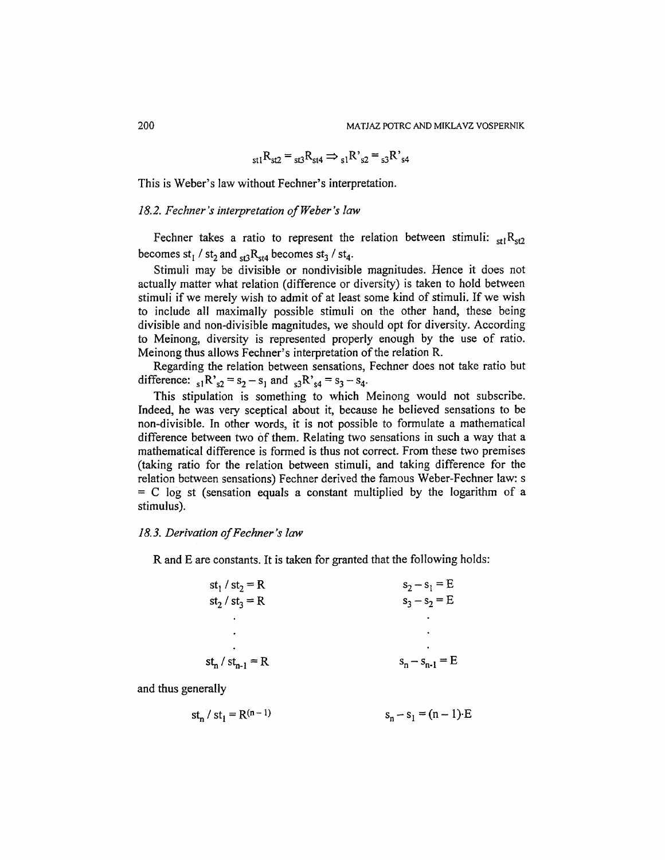$$
_{\rm st1}R_{\rm st2} = {}_{\rm st3}R_{\rm st4} \Rightarrow {}_{\rm s1}R'{}_{\rm s2} = {}_{\rm s3}R'{}_{\rm s4}
$$

This is Weber's law without Fechner's interpretation.

# *18.2. Fechner's interpretation of Weber's law*

Fechner takes a ratio to represent the relation between stimuli:  $_{\text{st}1}R_{\text{st}2}$ becomes st<sub>1</sub> / st<sub>2</sub> and  $_{st3}R_{st4}$  becomes st<sub>3</sub> / st<sub>4</sub>.

Stimuli may be divisible or nondivisible magnitudes. Hence it does not actually matter what relation (difference or diversity) is taken to hold between stimuli if we merely wish to admit of at least some kind of stimuli. If we wish to include all maximally possible stimuli on the other hand, these being divisible and non-divisible magnitudes, we should opt for diversity. According to Meinong, diversity is represented properly enough by the use of ratio. Meinong thus allows Fechner's interpretation of the relation R.

Regarding the relation between sensations, Fechner does not take ratio but difference:  $_{s1}R_{s2} = s_2 - s_1$  and  $_{s3}R_{s4} = s_3 - s_4$ .

This stipulation is something to which Meinong would not subscribe. Indeed, he was very sceptical about it, because he believed sensations to be non-divisible. In other words, it is not possible to formulate a mathematical difference between two of them. Relating two sensations in such a way that a mathematical difference is formed is thus not correct. From these two premises (taking ratio for the relation between stimuli, and taking difference for the relation between sensations) Fechner derived the famous Weber-Fechner law: s  $= C$  log st (sensation equals a constant multiplied by the logarithm of a stimulus).

#### *18. 3. Derivation of Fechner's law*

R and E are constants. It is taken for granted that the following holds:

| st <sub>1</sub> / st <sub>2</sub> = R | $s_2 - s_1 = E$     |
|---------------------------------------|---------------------|
| st <sub>2</sub> / st <sub>3</sub> = R | $s_3 - s_2 = E$     |
|                                       |                     |
| $\bullet$                             |                     |
|                                       |                     |
| $st_n / st_{n-1} = R$                 | $s_n - s_{n-1} = E$ |

and thus generally

$$
st_n / st_1 = R^{(n-1)} \qquad s_n - s_1 = (n-1) \cdot E
$$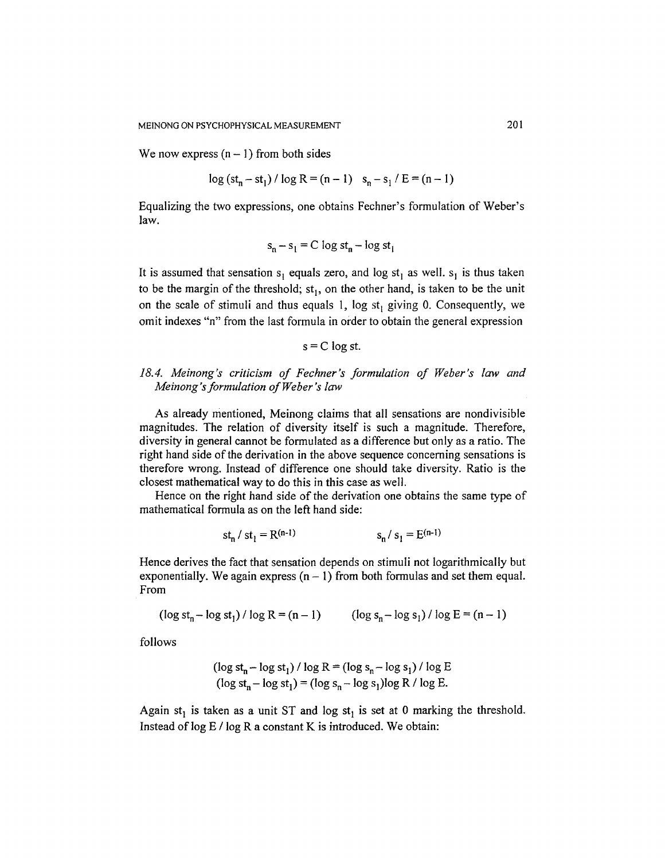We now express  $(n - 1)$  from both sides

$$
\log{(st_n - st_1) / \log R} = (n - 1) s_n - s_1 / E = (n - 1)
$$

Equalizing the two expressions, one obtains Fechner's formulation of Weber's law.

$$
s_n - s_1 = C \log st_n - \log st_1
$$

It is assumed that sensation  $s_1$  equals zero, and log st<sub>1</sub> as well.  $s_1$  is thus taken to be the margin of the threshold;  $st<sub>1</sub>$ , on the other hand, is taken to be the unit on the scale of stimuli and thus equals 1, log  $st<sub>1</sub>$  giving 0. Consequently, we omit indexes "n" from the last formula in order to obtain the general expression

$$
s = C \log st.
$$

# *18.4. Meinong's criticism of Fechner's formulation of Weber's law and Meinong 's formulation of Weber's law*

As already mentioned, Meinong claims that all sensations are nondivisible magnitudes. The relation of diversity itself is such a magnitude. Therefore, diversity in general cannot be formulated as a difference but only as a ratio. The right hand side of the derivation in the above sequence concerning sensations is therefore wrong. Instead of difference one should take diversity. Ratio is the closest mathematical way to do this in this case as well.

Hence on the right hand side of the derivation one obtains the same type of mathematical formula as on the left hand side:

$$
st_n / st_1 = R^{(n-1)} \qquad s_n / s_1 = E^{(n-1)}
$$

Hence derives the fact that sensation depends on stimuli not logarithmically but exponentially. We again express  $(n - 1)$  from both formulas and set them equal. From

$$
(\log st_n - \log st_1) / \log R = (n - 1)
$$
  $(\log s_n - \log s_1) / \log E = (n - 1)$ 

follows

$$
(\log st_n - \log st_1) / \log R = (\log s_n - \log s_1) / \log E
$$
  
(
$$
\log st_n - \log st_1) = (\log s_n - \log s_1) \log R / \log E.
$$

Again st<sub>1</sub> is taken as a unit ST and log st<sub>1</sub> is set at 0 marking the threshold. Instead of  $log E / log R$  a constant K is introduced. We obtain: